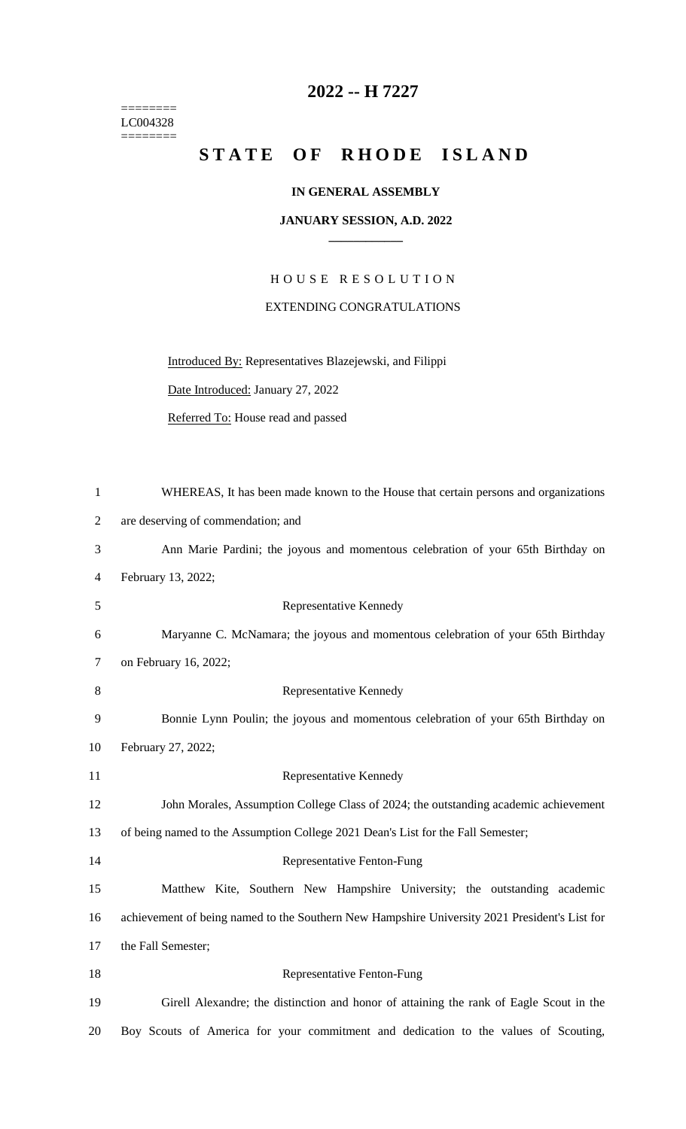======== LC004328  $=$ 

## **2022 -- H 7227**

## STATE OF RHODE ISLAND

## **IN GENERAL ASSEMBLY**

## **JANUARY SESSION, A.D. 2022 \_\_\_\_\_\_\_\_\_\_\_\_**

H O U S E R E S O L U T I O N EXTENDING CONGRATULATIONS

Introduced By: Representatives Blazejewski, and Filippi

Date Introduced: January 27, 2022

Referred To: House read and passed

| $\mathbf{1}$   | WHEREAS, It has been made known to the House that certain persons and organizations           |
|----------------|-----------------------------------------------------------------------------------------------|
| $\mathbf{2}$   | are deserving of commendation; and                                                            |
| 3              | Ann Marie Pardini; the joyous and momentous celebration of your 65th Birthday on              |
| $\overline{4}$ | February 13, 2022;                                                                            |
| 5              | Representative Kennedy                                                                        |
| 6              | Maryanne C. McNamara; the joyous and momentous celebration of your 65th Birthday              |
| 7              | on February 16, 2022;                                                                         |
| 8              | Representative Kennedy                                                                        |
| 9              | Bonnie Lynn Poulin; the joyous and momentous celebration of your 65th Birthday on             |
| 10             | February 27, 2022;                                                                            |
| 11             | Representative Kennedy                                                                        |
| 12             | John Morales, Assumption College Class of 2024; the outstanding academic achievement          |
| 13             | of being named to the Assumption College 2021 Dean's List for the Fall Semester;              |
| 14             | Representative Fenton-Fung                                                                    |
| 15             | Matthew Kite, Southern New Hampshire University; the outstanding academic                     |
| 16             | achievement of being named to the Southern New Hampshire University 2021 President's List for |
| 17             | the Fall Semester;                                                                            |
| 18             | Representative Fenton-Fung                                                                    |
| 19             | Girell Alexandre; the distinction and honor of attaining the rank of Eagle Scout in the       |
| 20             | Boy Scouts of America for your commitment and dedication to the values of Scouting,           |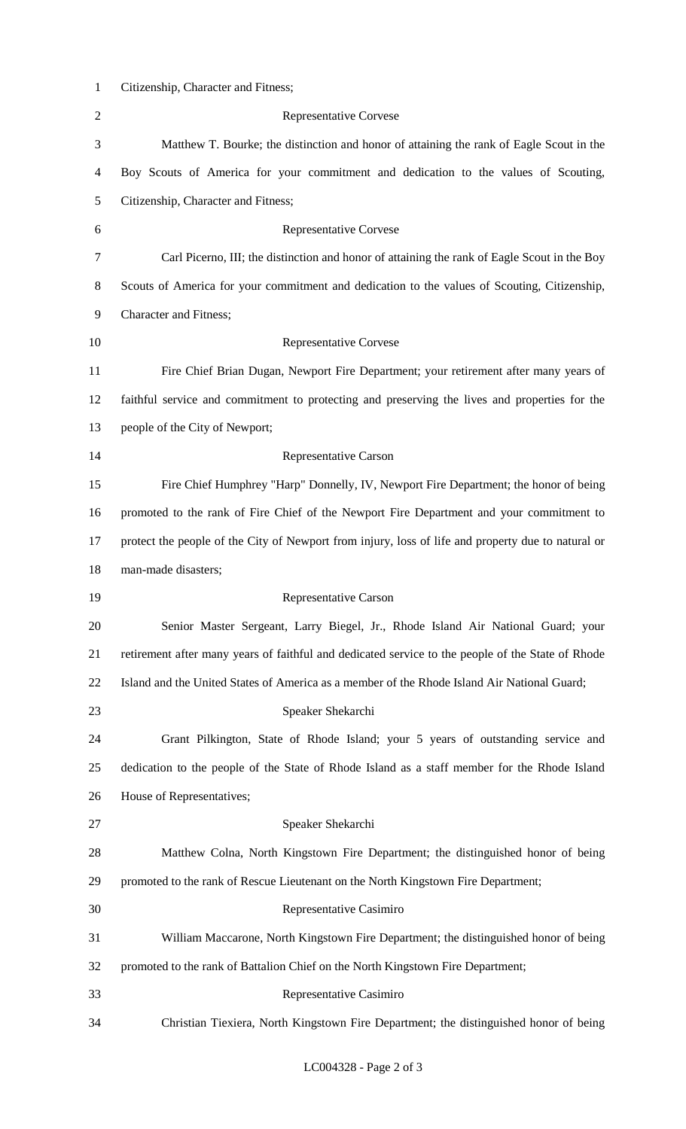| $\mathbf{1}$   | Citizenship, Character and Fitness;                                                                |
|----------------|----------------------------------------------------------------------------------------------------|
| $\overline{2}$ | <b>Representative Corvese</b>                                                                      |
| 3              | Matthew T. Bourke; the distinction and honor of attaining the rank of Eagle Scout in the           |
| 4              | Boy Scouts of America for your commitment and dedication to the values of Scouting,                |
| $\mathfrak{S}$ | Citizenship, Character and Fitness;                                                                |
| 6              | <b>Representative Corvese</b>                                                                      |
| 7              | Carl Picerno, III; the distinction and honor of attaining the rank of Eagle Scout in the Boy       |
| $8\,$          | Scouts of America for your commitment and dedication to the values of Scouting, Citizenship,       |
| 9              | <b>Character and Fitness;</b>                                                                      |
| 10             | <b>Representative Corvese</b>                                                                      |
| 11             | Fire Chief Brian Dugan, Newport Fire Department; your retirement after many years of               |
| 12             | faithful service and commitment to protecting and preserving the lives and properties for the      |
| 13             | people of the City of Newport;                                                                     |
| 14             | Representative Carson                                                                              |
| 15             | Fire Chief Humphrey "Harp" Donnelly, IV, Newport Fire Department; the honor of being               |
| 16             | promoted to the rank of Fire Chief of the Newport Fire Department and your commitment to           |
| 17             | protect the people of the City of Newport from injury, loss of life and property due to natural or |
|                |                                                                                                    |
| 18             | man-made disasters;                                                                                |
| 19             | Representative Carson                                                                              |
| 20             | Senior Master Sergeant, Larry Biegel, Jr., Rhode Island Air National Guard; your                   |
| 21             | retirement after many years of faithful and dedicated service to the people of the State of Rhode  |
| 22             | Island and the United States of America as a member of the Rhode Island Air National Guard;        |
| 23             | Speaker Shekarchi                                                                                  |
| 24             | Grant Pilkington, State of Rhode Island; your 5 years of outstanding service and                   |
| 25             | dedication to the people of the State of Rhode Island as a staff member for the Rhode Island       |
| 26             | House of Representatives;                                                                          |
| 27             | Speaker Shekarchi                                                                                  |
| 28             | Matthew Colna, North Kingstown Fire Department; the distinguished honor of being                   |
| 29             | promoted to the rank of Rescue Lieutenant on the North Kingstown Fire Department;                  |
| 30             | Representative Casimiro                                                                            |
| 31             | William Maccarone, North Kingstown Fire Department; the distinguished honor of being               |
| 32             | promoted to the rank of Battalion Chief on the North Kingstown Fire Department;                    |
| 33             | Representative Casimiro                                                                            |